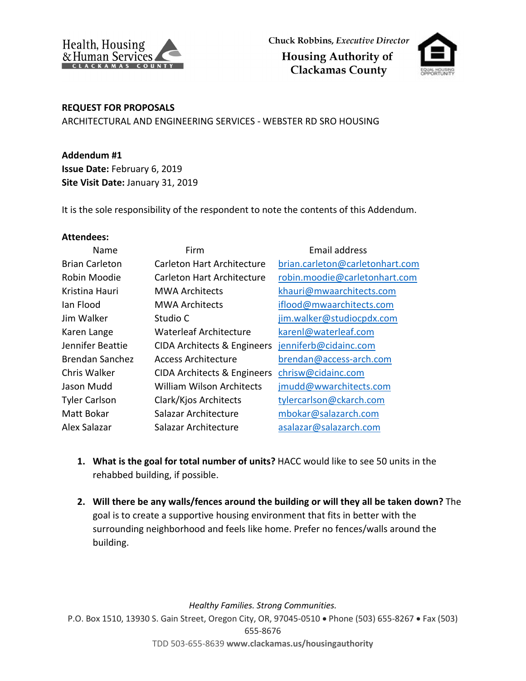



## **REQUEST FOR PROPOSALS**

ARCHITECTURAL AND ENGINEERING SERVICES - WEBSTER RD SRO HOUSING

**Addendum #1 Issue Date:** February 6, 2019 **Site Visit Date:** January 31, 2019

It is the sole responsibility of the respondent to note the contents of this Addendum.

## **Attendees:**

| Name                   | Firm                          | Email address                   |
|------------------------|-------------------------------|---------------------------------|
| <b>Brian Carleton</b>  | Carleton Hart Architecture    | brian.carleton@carletonhart.com |
| Robin Moodie           | Carleton Hart Architecture    | robin.moodie@carletonhart.com   |
| Kristina Hauri         | <b>MWA Architects</b>         | khauri@mwaarchitects.com        |
| Jan Flood              | <b>MWA Architects</b>         | iflood@mwaarchitects.com        |
| Jim Walker             | Studio C                      | jim.walker@studiocpdx.com       |
| Karen Lange            | <b>Waterleaf Architecture</b> | karenl@waterleaf.com            |
| Jennifer Beattie       | CIDA Architects & Engineers   | jenniferb@cidainc.com           |
| <b>Brendan Sanchez</b> | Access Architecture           | brendan@access-arch.com         |
| Chris Walker           | CIDA Architects & Engineers   | chrisw@cidainc.com              |
| Jason Mudd             | William Wilson Architects     | jmudd@wwarchitects.com          |
| <b>Tyler Carlson</b>   | Clark/Kjos Architects         | tylercarlson@ckarch.com         |
| Matt Bokar             | Salazar Architecture          | mbokar@salazarch.com            |
| Alex Salazar           | Salazar Architecture          | asalazar@salazarch.com          |

- **1. What is the goal for total number of units?** HACC would like to see 50 units in the rehabbed building, if possible.
- **2. Will there be any walls/fences around the building or will they all be taken down?** The goal is to create a supportive housing environment that fits in better with the surrounding neighborhood and feels like home. Prefer no fences/walls around the building.